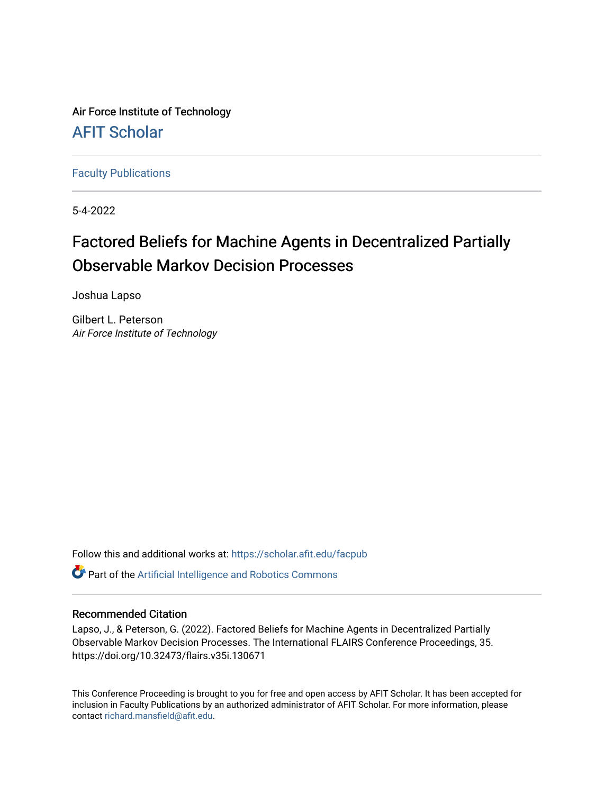Air Force Institute of Technology [AFIT Scholar](https://scholar.afit.edu/) 

[Faculty Publications](https://scholar.afit.edu/facpub)

5-4-2022

# Factored Beliefs for Machine Agents in Decentralized Partially Observable Markov Decision Processes

Joshua Lapso

Gilbert L. Peterson Air Force Institute of Technology

Follow this and additional works at: [https://scholar.afit.edu/facpub](https://scholar.afit.edu/facpub?utm_source=scholar.afit.edu%2Ffacpub%2F968&utm_medium=PDF&utm_campaign=PDFCoverPages)

Part of the [Artificial Intelligence and Robotics Commons](https://network.bepress.com/hgg/discipline/143?utm_source=scholar.afit.edu%2Ffacpub%2F968&utm_medium=PDF&utm_campaign=PDFCoverPages) 

# Recommended Citation

Lapso, J., & Peterson, G. (2022). Factored Beliefs for Machine Agents in Decentralized Partially Observable Markov Decision Processes. The International FLAIRS Conference Proceedings, 35. https://doi.org/10.32473/flairs.v35i.130671

This Conference Proceeding is brought to you for free and open access by AFIT Scholar. It has been accepted for inclusion in Faculty Publications by an authorized administrator of AFIT Scholar. For more information, please contact [richard.mansfield@afit.edu](mailto:richard.mansfield@afit.edu).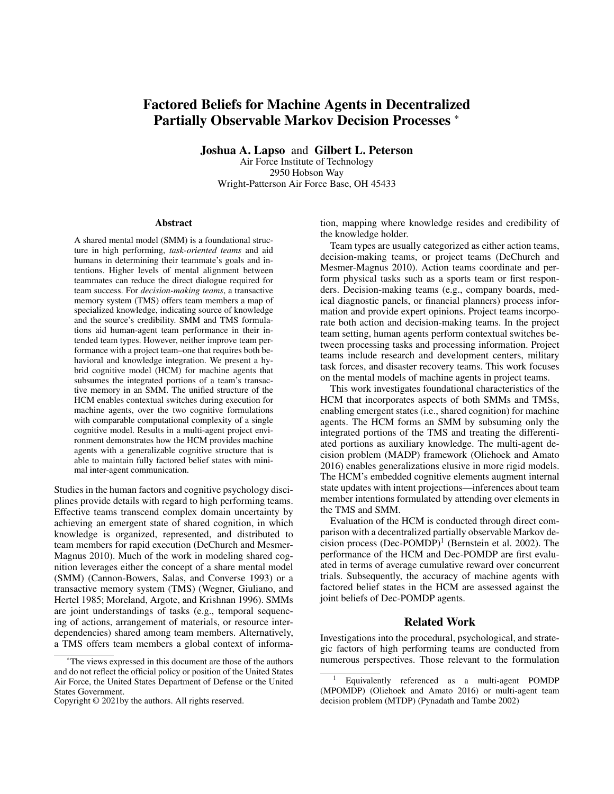# Factored Beliefs for Machine Agents in Decentralized Partially Observable Markov Decision Processes \*

Joshua A. Lapso and Gilbert L. Peterson Air Force Institute of Technology 2950 Hobson Way Wright-Patterson Air Force Base, OH 45433

#### Abstract

A shared mental model (SMM) is a foundational structure in high performing, *task-oriented teams* and aid humans in determining their teammate's goals and intentions. Higher levels of mental alignment between teammates can reduce the direct dialogue required for team success. For *decision-making teams*, a transactive memory system (TMS) offers team members a map of specialized knowledge, indicating source of knowledge and the source's credibility. SMM and TMS formulations aid human-agent team performance in their intended team types. However, neither improve team performance with a project team–one that requires both behavioral and knowledge integration. We present a hybrid cognitive model (HCM) for machine agents that subsumes the integrated portions of a team's transactive memory in an SMM. The unified structure of the HCM enables contextual switches during execution for machine agents, over the two cognitive formulations with comparable computational complexity of a single cognitive model. Results in a multi-agent project environment demonstrates how the HCM provides machine agents with a generalizable cognitive structure that is able to maintain fully factored belief states with minimal inter-agent communication.

Studies in the human factors and cognitive psychology disciplines provide details with regard to high performing teams. Effective teams transcend complex domain uncertainty by achieving an emergent state of shared cognition, in which knowledge is organized, represented, and distributed to team members for rapid execution (DeChurch and Mesmer-Magnus 2010). Much of the work in modeling shared cognition leverages either the concept of a share mental model (SMM) (Cannon-Bowers, Salas, and Converse 1993) or a transactive memory system (TMS) (Wegner, Giuliano, and Hertel 1985; Moreland, Argote, and Krishnan 1996). SMMs are joint understandings of tasks (e.g., temporal sequencing of actions, arrangement of materials, or resource interdependencies) shared among team members. Alternatively, a TMS offers team members a global context of information, mapping where knowledge resides and credibility of the knowledge holder.

Team types are usually categorized as either action teams, decision-making teams, or project teams (DeChurch and Mesmer-Magnus 2010). Action teams coordinate and perform physical tasks such as a sports team or first responders. Decision-making teams (e.g., company boards, medical diagnostic panels, or financial planners) process information and provide expert opinions. Project teams incorporate both action and decision-making teams. In the project team setting, human agents perform contextual switches between processing tasks and processing information. Project teams include research and development centers, military task forces, and disaster recovery teams. This work focuses on the mental models of machine agents in project teams.

This work investigates foundational characteristics of the HCM that incorporates aspects of both SMMs and TMSs, enabling emergent states (i.e., shared cognition) for machine agents. The HCM forms an SMM by subsuming only the integrated portions of the TMS and treating the differentiated portions as auxiliary knowledge. The multi-agent decision problem (MADP) framework (Oliehoek and Amato 2016) enables generalizations elusive in more rigid models. The HCM's embedded cognitive elements augment internal state updates with intent projections—inferences about team member intentions formulated by attending over elements in the TMS and SMM.

Evaluation of the HCM is conducted through direct comparison with a decentralized partially observable Markov decision process  $(Dec-POMDP)^1$  (Bernstein et al. 2002). The performance of the HCM and Dec-POMDP are first evaluated in terms of average cumulative reward over concurrent trials. Subsequently, the accuracy of machine agents with factored belief states in the HCM are assessed against the joint beliefs of Dec-POMDP agents.

# Related Work

Investigations into the procedural, psychological, and strategic factors of high performing teams are conducted from numerous perspectives. Those relevant to the formulation

<sup>\*</sup>The views expressed in this document are those of the authors and do not reflect the official policy or position of the United States Air Force, the United States Department of Defense or the United States Government.

Copyright © 2021by the authors. All rights reserved.

<sup>1</sup> Equivalently referenced as a multi-agent POMDP (MPOMDP) (Oliehoek and Amato 2016) or multi-agent team decision problem (MTDP) (Pynadath and Tambe 2002)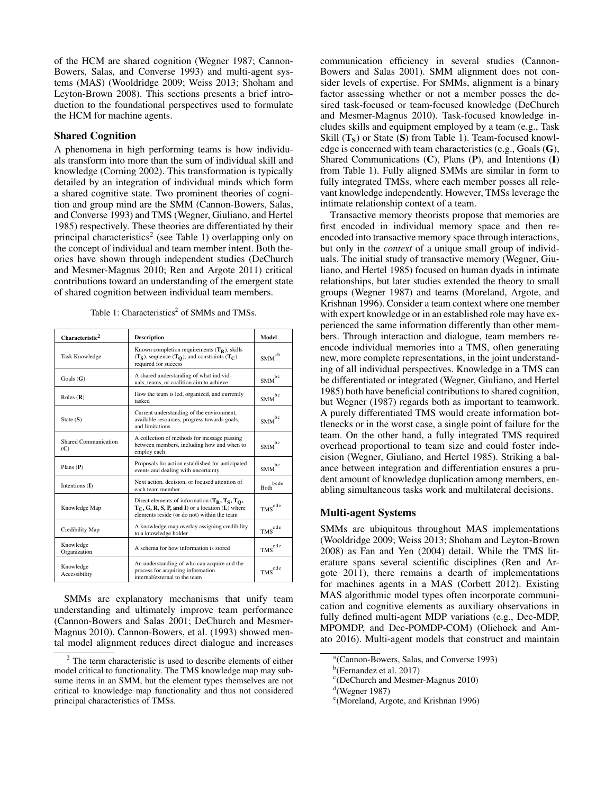of the HCM are shared cognition (Wegner 1987; Cannon-Bowers, Salas, and Converse 1993) and multi-agent systems (MAS) (Wooldridge 2009; Weiss 2013; Shoham and Leyton-Brown 2008). This sections presents a brief introduction to the foundational perspectives used to formulate the HCM for machine agents.

# Shared Cognition

A phenomena in high performing teams is how individuals transform into more than the sum of individual skill and knowledge (Corning 2002). This transformation is typically detailed by an integration of individual minds which form a shared cognitive state. Two prominent theories of cognition and group mind are the SMM (Cannon-Bowers, Salas, and Converse 1993) and TMS (Wegner, Giuliano, and Hertel 1985) respectively. These theories are differentiated by their principal characteristics<sup>2</sup> (see Table 1) overlapping only on the concept of individual and team member intent. Both theories have shown through independent studies (DeChurch and Mesmer-Magnus 2010; Ren and Argote 2011) critical contributions toward an understanding of the emergent state of shared cognition between individual team members.

Table 1: Characteristics<sup>2</sup> of SMMs and TMSs.

| Characteristic <sup>2</sup> | <b>Description</b>                                                                                                                                    | Model                    |
|-----------------------------|-------------------------------------------------------------------------------------------------------------------------------------------------------|--------------------------|
| <b>Task Knowledge</b>       | Known completion requirements $(T_R)$ , skills<br>$(TS)$ , sequence $(TO)$ , and constraints $(TC)$<br>required for success                           | $\mbox{SMM}^\mathrm{ab}$ |
| Goals $(G)$                 | A shared understanding of what individ-<br>uals, teams, or coalition aim to achieve                                                                   | bc<br><b>SMM</b>         |
| Roles $(R)$                 | How the team is led, organized, and currently<br>tasked                                                                                               | $\mbox{SMM}^{\rm bc}$    |
| State $(S)$                 | Current understanding of the environment,<br>available resources, progress towards goals,<br>and limitations                                          | hc<br><b>SMM</b>         |
| Shared Communication<br>(C) | A collection of methods for message passing<br>between members, including how and when to<br>employ each                                              |                          |
| Plans $(P)$                 | Proposals for action established for anticipated<br>events and dealing with uncertainty                                                               | hc.<br><b>SMM</b>        |
| Intentions (I)              | Next action, decision, or focused attention of<br>each team member                                                                                    | hede<br><b>Both</b>      |
| Knowledge Map               | Direct elements of information $(T_R, T_S, T_O,$<br>$T_C$ , G, R, S, P, and I) or a location (L) where<br>elements reside (or do not) within the team |                          |
| Credibility Map             | A knowledge map overlay assigning credibility<br>to a knowledge holder                                                                                | $\mbox{TMS}^{\rm cde}$   |
| Knowledge<br>Organization   | A schema for how information is stored                                                                                                                | $\mbox{TMS}^{\rm cde}$   |
| Knowledge<br>Accessibility  | An understanding of who can acquire and the<br>process for acquiring information<br>internal/external to the team                                     |                          |

SMMs are explanatory mechanisms that unify team understanding and ultimately improve team performance (Cannon-Bowers and Salas 2001; DeChurch and Mesmer-Magnus 2010). Cannon-Bowers, et al. (1993) showed mental model alignment reduces direct dialogue and increases

communication efficiency in several studies (Cannon-Bowers and Salas 2001). SMM alignment does not consider levels of expertise. For SMMs, alignment is a binary factor assessing whether or not a member posses the desired task-focused or team-focused knowledge (DeChurch and Mesmer-Magnus 2010). Task-focused knowledge includes skills and equipment employed by a team (e.g., Task Skill  $(T<sub>S</sub>)$  or State (S) from Table 1). Team-focused knowledge is concerned with team characteristics (e.g., Goals (G), Shared Communications (C), Plans (P), and Intentions (I) from Table 1). Fully aligned SMMs are similar in form to fully integrated TMSs, where each member posses all relevant knowledge independently. However, TMSs leverage the intimate relationship context of a team.

Transactive memory theorists propose that memories are first encoded in individual memory space and then reencoded into transactive memory space through interactions, but only in the *context* of a unique small group of individuals. The initial study of transactive memory (Wegner, Giuliano, and Hertel 1985) focused on human dyads in intimate relationships, but later studies extended the theory to small groups (Wegner 1987) and teams (Moreland, Argote, and Krishnan 1996). Consider a team context where one member with expert knowledge or in an established role may have experienced the same information differently than other members. Through interaction and dialogue, team members reencode individual memories into a TMS, often generating new, more complete representations, in the joint understanding of all individual perspectives. Knowledge in a TMS can be differentiated or integrated (Wegner, Giuliano, and Hertel 1985) both have beneficial contributions to shared cognition, but Wegner (1987) regards both as important to teamwork. A purely differentiated TMS would create information bottlenecks or in the worst case, a single point of failure for the team. On the other hand, a fully integrated TMS required overhead proportional to team size and could foster indecision (Wegner, Giuliano, and Hertel 1985). Striking a balance between integration and differentiation ensures a prudent amount of knowledge duplication among members, enabling simultaneous tasks work and multilateral decisions.

# Multi-agent Systems

SMMs are ubiquitous throughout MAS implementations (Wooldridge 2009; Weiss 2013; Shoham and Leyton-Brown 2008) as Fan and Yen (2004) detail. While the TMS literature spans several scientific disciplines (Ren and Argote 2011), there remains a dearth of implementations for machines agents in a MAS (Corbett 2012). Existing MAS algorithmic model types often incorporate communication and cognitive elements as auxiliary observations in fully defined multi-agent MDP variations (e.g., Dec-MDP, MPOMDP, and Dec-POMDP-COM) (Oliehoek and Amato 2016). Multi-agent models that construct and maintain

<sup>2</sup> The term characteristic is used to describe elements of either model critical to functionality. The TMS knowledge map may subsume items in an SMM, but the element types themselves are not critical to knowledge map functionality and thus not considered principal characteristics of TMSs.

a (Cannon-Bowers, Salas, and Converse 1993)

<sup>&</sup>lt;sup>b</sup>(Fernandez et al. 2017)

c (DeChurch and Mesmer-Magnus 2010)

 $d$ (Wegner 1987)

e (Moreland, Argote, and Krishnan 1996)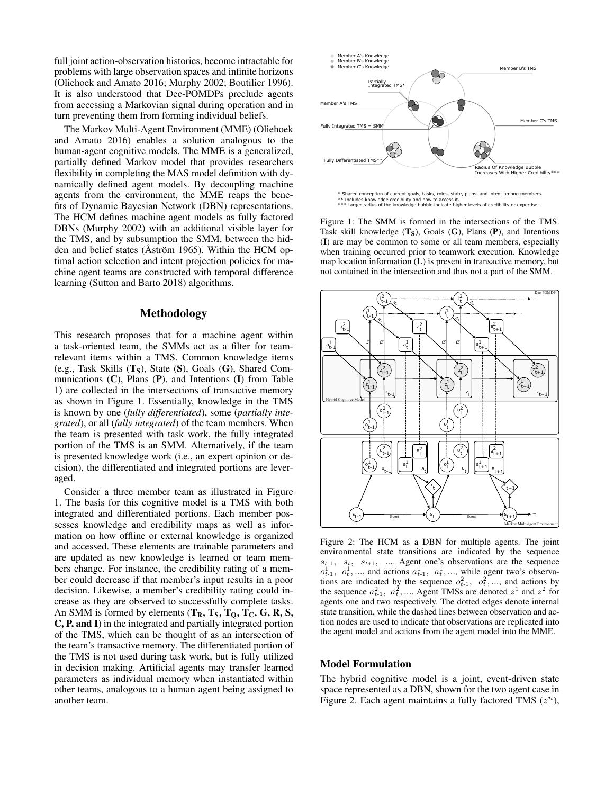full joint action-observation histories, become intractable for problems with large observation spaces and infinite horizons (Oliehoek and Amato 2016; Murphy 2002; Boutilier 1996). It is also understood that Dec-POMDPs preclude agents from accessing a Markovian signal during operation and in turn preventing them from forming individual beliefs.

The Markov Multi-Agent Environment (MME) (Oliehoek and Amato 2016) enables a solution analogous to the human-agent cognitive models. The MME is a generalized, partially defined Markov model that provides researchers flexibility in completing the MAS model definition with dynamically defined agent models. By decoupling machine agents from the environment, the MME reaps the benefits of Dynamic Bayesian Network (DBN) representations. The HCM defines machine agent models as fully factored DBNs (Murphy 2002) with an additional visible layer for the TMS, and by subsumption the SMM, between the hidden and belief states (Aström 1965). Within the HCM optimal action selection and intent projection policies for machine agent teams are constructed with temporal difference learning (Sutton and Barto 2018) algorithms.

# Methodology

This research proposes that for a machine agent within a task-oriented team, the SMMs act as a filter for teamrelevant items within a TMS. Common knowledge items (e.g., Task Skills  $(T_S)$ , State  $(S)$ , Goals  $(G)$ , Shared Communications  $(C)$ , Plans  $(P)$ , and Intentions  $(I)$  from Table 1) are collected in the intersections of transactive memory as shown in Figure 1. Essentially, knowledge in the TMS is known by one (*fully differentiated*), some (*partially integrated*), or all (*fully integrated*) of the team members. When the team is presented with task work, the fully integrated portion of the TMS is an SMM. Alternatively, if the team is presented knowledge work (i.e., an expert opinion or decision), the differentiated and integrated portions are leveraged.

Consider a three member team as illustrated in Figure 1. The basis for this cognitive model is a TMS with both integrated and differentiated portions. Each member possesses knowledge and credibility maps as well as information on how offline or external knowledge is organized and accessed. These elements are trainable parameters and are updated as new knowledge is learned or team members change. For instance, the credibility rating of a member could decrease if that member's input results in a poor decision. Likewise, a member's credibility rating could increase as they are observed to successfully complete tasks. An SMM is formed by elements  $(T_R, T_S, T_O, T_C, G, R, S,$ C, P, and I) in the integrated and partially integrated portion of the TMS, which can be thought of as an intersection of the team's transactive memory. The differentiated portion of the TMS is not used during task work, but is fully utilized in decision making. Artificial agents may transfer learned parameters as individual memory when instantiated within other teams, analogous to a human agent being assigned to another team.



Shared conception of current goals, tasks, roles, state, plans, and intent among members \*\* Includes knowledge credibility and how to access it. \*\*\* Larger radius of the knowledge bubble indicate higher levels of credibility or expertise.

Figure 1: The SMM is formed in the intersections of the TMS. Task skill knowledge  $(T<sub>S</sub>)$ , Goals  $(G)$ , Plans  $(P)$ , and Intentions (I) are may be common to some or all team members, especially when training occurred prior to teamwork execution. Knowledge map location information (L) is present in transactive memory, but not contained in the intersection and thus not a part of the SMM.



Figure 2: The HCM as a DBN for multiple agents. The joint environmental state transitions are indicated by the sequence  $s_{t-1}$ ,  $s_t$ ,  $s_{t+1}$ , .... Agent one's observations are the sequence  $o_{t-1}^1$ ,  $o_t^1$ , ..., and actions  $a_{t-1}^1$ ,  $a_t^1$ , ..., while agent two's observations are indicated by the sequence  $o_{t-1}^2$ ,  $o_t^2$ , ..., and actions by the sequence  $a_{t-1}^2$ ,  $a_t^2$ , .... Agent TMSs are denoted  $z^1$  and  $z^2$  for agents one and two respectively. The dotted edges denote internal state transition, while the dashed lines between observation and action nodes are used to indicate that observations are replicated into the agent model and actions from the agent model into the MME.

#### Model Formulation

The hybrid cognitive model is a joint, event-driven state space represented as a DBN, shown for the two agent case in Figure 2. Each agent maintains a fully factored TMS  $(z^n)$ ,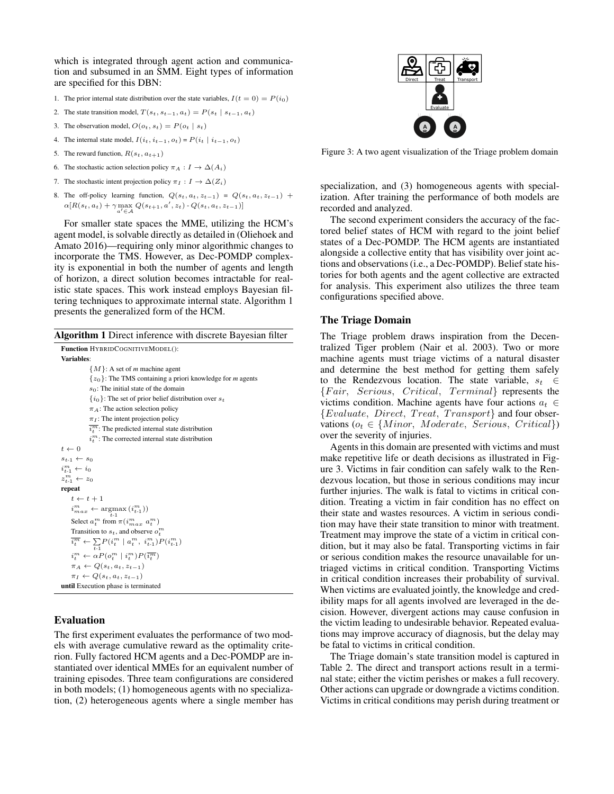which is integrated through agent action and communication and subsumed in an SMM. Eight types of information are specified for this DBN:

- 1. The prior internal state distribution over the state variables,  $I(t = 0) = P(i_0)$
- 2. The state transition model,  $T(s_t, s_{t-1}, a_t) = P(s_t | s_{t-1}, a_t)$
- 3. The observation model,  $O(o_t, s_t) = P(o_t | s_t)$
- 4. The internal state model,  $I(i_t, i_{t-1}, o_t) = P(i_t | i_{t-1}, o_t)$
- 5. The reward function,  $R(s_t, a_{t+1})$
- 6. The stochastic action selection policy  $\pi_A : I \to \Delta(A_i)$
- 7. The stochastic intent projection policy  $\pi_I : I \to \Delta(Z_i)$
- 8. The off-policy learning function,  $Q(s_t, a_t, z_{t-1}) = Q(s_t, a_t, z_{t-1})$  +  $\alpha [R(s_t, a_t) + \gamma \max_{a' \in \mathcal{A}} Q(s_{t+1}, a', z_t) - Q(s_t, a_t, z_{t-1})]$

For smaller state spaces the MME, utilizing the HCM's agent model, is solvable directly as detailed in (Oliehoek and Amato 2016)—requiring only minor algorithmic changes to incorporate the TMS. However, as Dec-POMDP complexity is exponential in both the number of agents and length of horizon, a direct solution becomes intractable for realistic state spaces. This work instead employs Bayesian filtering techniques to approximate internal state. Algorithm 1 presents the generalized form of the HCM.

Algorithm 1 Direct inference with discrete Bayesian filter

# Evaluation

The first experiment evaluates the performance of two models with average cumulative reward as the optimality criterion. Fully factored HCM agents and a Dec-POMDP are instantiated over identical MMEs for an equivalent number of training episodes. Three team configurations are considered in both models; (1) homogeneous agents with no specialization, (2) heterogeneous agents where a single member has



Figure 3: A two agent visualization of the Triage problem domain

specialization, and (3) homogeneous agents with specialization. After training the performance of both models are recorded and analyzed.

The second experiment considers the accuracy of the factored belief states of HCM with regard to the joint belief states of a Dec-POMDP. The HCM agents are instantiated alongside a collective entity that has visibility over joint actions and observations (i.e., a Dec-POMDP). Belief state histories for both agents and the agent collective are extracted for analysis. This experiment also utilizes the three team configurations specified above.

# The Triage Domain

The Triage problem draws inspiration from the Decentralized Tiger problem (Nair et al. 2003). Two or more machine agents must triage victims of a natural disaster and determine the best method for getting them safely to the Rendezvous location. The state variable,  $s_t \in$  ${Fair, Serious, Critical, Terminal}$  represents the victims condition. Machine agents have four actions  $a_t \in$  ${Evaluate, Direct, Treat, Transport}$  and four observations ( $o_t \in \{Minor, Moderate, Series, Critical\}$ ) over the severity of injuries.

Agents in this domain are presented with victims and must make repetitive life or death decisions as illustrated in Figure 3. Victims in fair condition can safely walk to the Rendezvous location, but those in serious conditions may incur further injuries. The walk is fatal to victims in critical condition. Treating a victim in fair condition has no effect on their state and wastes resources. A victim in serious condition may have their state transition to minor with treatment. Treatment may improve the state of a victim in critical condition, but it may also be fatal. Transporting victims in fair or serious condition makes the resource unavailable for untriaged victims in critical condition. Transporting Victims in critical condition increases their probability of survival. When victims are evaluated jointly, the knowledge and credibility maps for all agents involved are leveraged in the decision. However, divergent actions may cause confusion in the victim leading to undesirable behavior. Repeated evaluations may improve accuracy of diagnosis, but the delay may be fatal to victims in critical condition.

The Triage domain's state transition model is captured in Table 2. The direct and transport actions result in a terminal state; either the victim perishes or makes a full recovery. Other actions can upgrade or downgrade a victims condition. Victims in critical conditions may perish during treatment or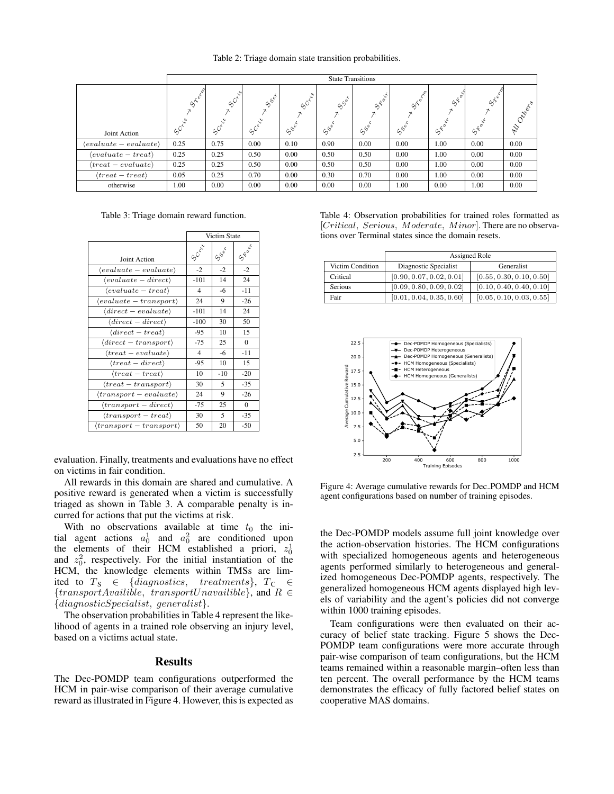Table 2: Triage domain state transition probabilities.

|                                    | <b>State Transitions</b>  |                                 |                     |                                           |                                                              |                                                                                      |                                                    |                   |                                           |          |
|------------------------------------|---------------------------|---------------------------------|---------------------|-------------------------------------------|--------------------------------------------------------------|--------------------------------------------------------------------------------------|----------------------------------------------------|-------------------|-------------------------------------------|----------|
| Joint Action                       | Green<br>$\infty^{\circ}$ | $60^{6^{20}}$<br>$\infty^\circ$ | $55^{\circ}$<br>ىنى | $\infty^{\circ}$<br>$S^{S^{\mathcal{C}}}$ | $S_{\phi}^{\phi}$<br>$\mathcal{S}^{\mathcal{S}^\mathcal{C}}$ | $s^{\xi_{\alpha}^{i^\star}}$<br>$\mathcal{S}^{\mathcal{S}^{\mathring{\mathcal{C}}}}$ | Centre 1<br>¢م<br>$\mathcal{S}^{\mathcal{S}^\psi}$ | $a^{6}$<br>STROIT | $s^{\zeta^{\hat{\psi}^{\zeta}}}$<br>SFair | Oztrechs |
| $\langle evaluate-evaluate\rangle$ | 0.25                      | 0.75                            | 0.00                | 0.10                                      | 0.90                                                         | 0.00                                                                                 | 0.00                                               | 1.00              | 0.00                                      | 0.00     |
| $\langle evaluate - treat \rangle$ | 0.25                      | 0.25                            | 0.50                | 0.00                                      | 0.50                                                         | 0.50                                                                                 | 0.00                                               | 1.00              | 0.00                                      | 0.00     |
| $\langle treat-evaluate \rangle$   | 0.25                      | 0.25                            | 0.50                | 0.00                                      | 0.50                                                         | 0.50                                                                                 | 0.00                                               | 1.00              | 0.00                                      | 0.00     |
| $\langle treat - treat\rangle$     | 0.05                      | 0.25                            | 0.70                | 0.00                                      | 0.30                                                         | 0.70                                                                                 | 0.00                                               | 1.00              | 0.00                                      | 0.00     |
| otherwise                          | 1.00                      | 0.00                            | 0.00                | 0.00                                      | 0.00                                                         | 0.00                                                                                 | 1.00                                               | 0.00              | 1.00                                      | 0.00     |

Table 3: Triage domain reward function.

|                                        | Victim State |                                                                         |          |
|----------------------------------------|--------------|-------------------------------------------------------------------------|----------|
| <b>Joint Action</b>                    | SO river     | $\hat{\varsigma}^{\hat{\varsigma}^{\hat{\mathfrak{e}}^{\hat{\kappa}}}}$ | STR QU'E |
| $\langle evaluate-evaluate\rangle$     | $-2$         | $-2$                                                                    | $-2$     |
| $\langle evaluate - direct \rangle$    | $-101$       | 14                                                                      | 24       |
| $\langle evaluate - treat \rangle$     | 4            | -6                                                                      | $-11$    |
| $\langle evaluate - transport \rangle$ | 24           | 9                                                                       | $-26$    |
| $\langle direct-evaluate\rangle$       | $-101$       | 14                                                                      | 24       |
| $\langle direct - direct \rangle$      | $-100$       | 30                                                                      | 50       |
| $\langle direct - treat \rangle$       | $-95$        | 10                                                                      | 15       |
| $\langle direct - transport \rangle$   | $-75$        | 25                                                                      | $\Omega$ |
| $\langle treat-evaluate \rangle$       | 4            | -6                                                                      | $-11$    |
| $\langle treat-direct \rangle$         | -95          | 10                                                                      | 15       |
| $\langle treat - treat\rangle$         | 10           | $-10$                                                                   | $-20$    |
| $\langle treat-transport \rangle$      | 30           | 5                                                                       | $-35$    |
| $\langle transport-evaluate\rangle$    | 24           | 9                                                                       | $-26$    |
| $\langle transport - direct \rangle$   | $-75$        | 25                                                                      | $\Omega$ |
| $\langle transport - treat \rangle$    | 30           | 5                                                                       | $-35$    |
| $\langle transport-transport\rangle$   | 50           | 20                                                                      | $-50$    |

evaluation. Finally, treatments and evaluations have no effect on victims in fair condition.

All rewards in this domain are shared and cumulative. A positive reward is generated when a victim is successfully triaged as shown in Table 3. A comparable penalty is incurred for actions that put the victims at risk.

With no observations available at time  $t_0$  the initial agent actions  $a_0^1$  and  $a_0^2$  are conditioned upon the elements of their HCM established a priori,  $z_0^1$ and  $z_0^2$ , respectively. For the initial instantiation of the HCM, the knowledge elements within TMSs are limited to  $T_S \in \{diagnostics, \text{treatments}\}, T_C \in$  ${transportAvailable,}$   ${transportUnavailable}$ , and  $R \in$ {diagnosticSpecialist, generalist}.

The observation probabilities in Table 4 represent the likelihood of agents in a trained role observing an injury level, based on a victims actual state.

# **Results**

The Dec-POMDP team configurations outperformed the HCM in pair-wise comparison of their average cumulative reward as illustrated in Figure 4. However, this is expected as

Table 4: Observation probabilities for trained roles formatted as [Critical, Serious, Moderate, Minor]. There are no observations over Terminal states since the domain resets.

|                  | Assigned Role            |                          |  |
|------------------|--------------------------|--------------------------|--|
| Victim Condition | Diagnostic Specialist    | Generalist               |  |
| Critical         | [0.90, 0.07, 0.02, 0.01] | [0.55, 0.30, 0.10, 0.50] |  |
| Serious          | [0.09, 0.80, 0.09, 0.02] | [0.10, 0.40, 0.40, 0.10] |  |
| Fair             | [0.01, 0.04, 0.35, 0.60] | [0.05, 0.10, 0.03, 0.55] |  |



Figure 4: Average cumulative rewards for Dec POMDP and HCM agent configurations based on number of training episodes.

the Dec-POMDP models assume full joint knowledge over the action-observation histories. The HCM configurations with specialized homogeneous agents and heterogeneous agents performed similarly to heterogeneous and generalized homogeneous Dec-POMDP agents, respectively. The generalized homogeneous HCM agents displayed high levels of variability and the agent's policies did not converge within 1000 training episodes.

Team configurations were then evaluated on their accuracy of belief state tracking. Figure 5 shows the Dec-POMDP team configurations were more accurate through pair-wise comparison of team configurations, but the HCM teams remained within a reasonable margin–often less than ten percent. The overall performance by the HCM teams demonstrates the efficacy of fully factored belief states on cooperative MAS domains.